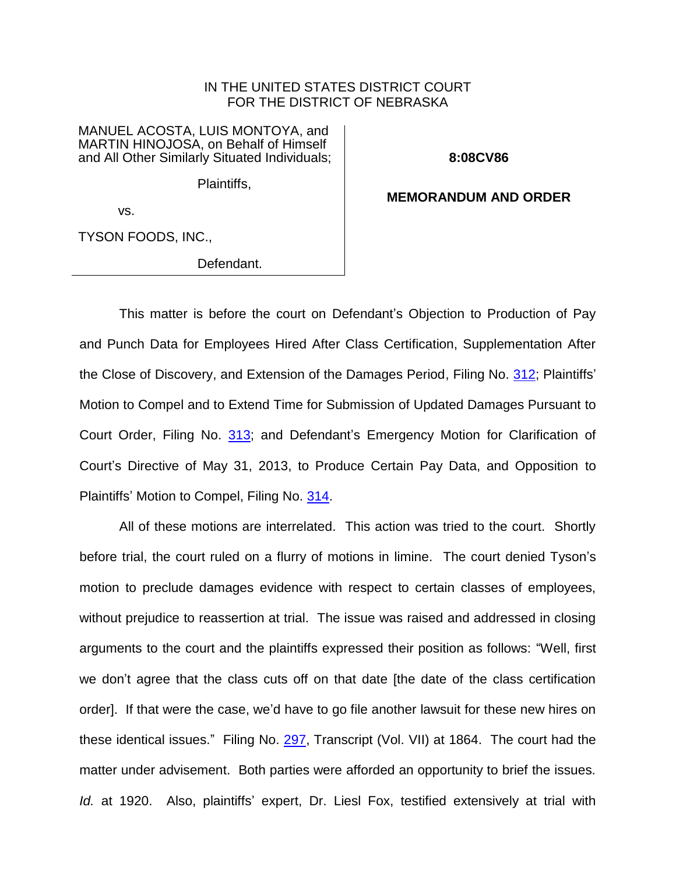## IN THE UNITED STATES DISTRICT COURT FOR THE DISTRICT OF NEBRASKA

MANUEL ACOSTA, LUIS MONTOYA, and MARTIN HINOJOSA, on Behalf of Himself and All Other Similarly Situated Individuals;

**8:08CV86**

Plaintiffs,

**MEMORANDUM AND ORDER**

vs.

TYSON FOODS, INC.,

Defendant.

This matter is before the court on Defendant's Objection to Production of Pay and Punch Data for Employees Hired After Class Certification, Supplementation After the Close of Discovery, and Extension of the Damages Period, Filing No. [312;](https://ecf.ned.uscourts.gov/doc1/11312803102) Plaintiffs' Motion to Compel and to Extend Time for Submission of Updated Damages Pursuant to Court Order, Filing No. [313;](https://ecf.ned.uscourts.gov/doc1/11312805706) and Defendant's Emergency Motion for Clarification of Court's Directive of May 31, 2013, to Produce Certain Pay Data, and Opposition to Plaintiffs' Motion to Compel, Filing No. [314.](https://ecf.ned.uscourts.gov/doc1/11312805750)

All of these motions are interrelated. This action was tried to the court. Shortly before trial, the court ruled on a flurry of motions in limine. The court denied Tyson's motion to preclude damages evidence with respect to certain classes of employees, without prejudice to reassertion at trial. The issue was raised and addressed in closing arguments to the court and the plaintiffs expressed their position as follows: "Well, first we don't agree that the class cuts off on that date [the date of the class certification order]. If that were the case, we'd have to go file another lawsuit for these new hires on these identical issues." Filing No. [297,](https://ecf.ned.uscourts.gov/doc1/11312714084) Transcript (Vol. VII) at 1864. The court had the matter under advisement. Both parties were afforded an opportunity to brief the issues. *Id.* at 1920. Also, plaintiffs' expert, Dr. Liesl Fox, testified extensively at trial with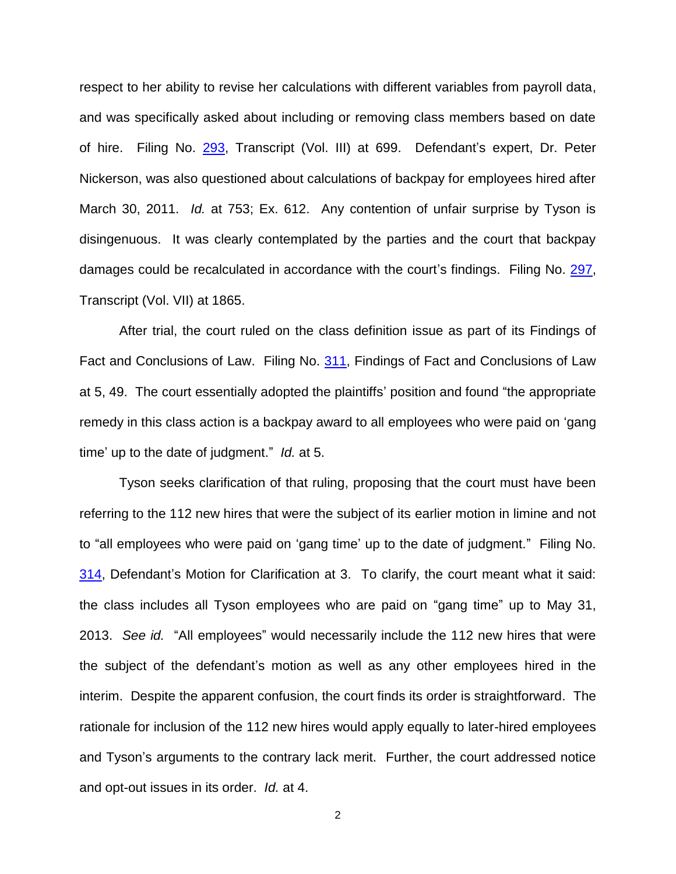respect to her ability to revise her calculations with different variables from payroll data, and was specifically asked about including or removing class members based on date of hire. Filing No. [293,](https://ecf.ned.uscourts.gov/doc1/11312714060) Transcript (Vol. III) at 699. Defendant's expert, Dr. Peter Nickerson, was also questioned about calculations of backpay for employees hired after March 30, 2011. *Id.* at 753; Ex. 612. Any contention of unfair surprise by Tyson is disingenuous. It was clearly contemplated by the parties and the court that backpay damages could be recalculated in accordance with the court's findings. Filing No. [297,](https://ecf.ned.uscourts.gov/doc1/11312714084) Transcript (Vol. VII) at 1865.

After trial, the court ruled on the class definition issue as part of its Findings of Fact and Conclusions of Law. Filing No. [311,](https://ecf.ned.uscourts.gov/doc1/11312795890) Findings of Fact and Conclusions of Law at 5, 49. The court essentially adopted the plaintiffs' position and found "the appropriate remedy in this class action is a backpay award to all employees who were paid on 'gang time' up to the date of judgment." *Id.* at 5.

Tyson seeks clarification of that ruling, proposing that the court must have been referring to the 112 new hires that were the subject of its earlier motion in limine and not to "all employees who were paid on 'gang time' up to the date of judgment." Filing No. [314,](https://ecf.ned.uscourts.gov/doc1/11312805750) Defendant's Motion for Clarification at 3. To clarify, the court meant what it said: the class includes all Tyson employees who are paid on "gang time" up to May 31, 2013. *See id.* "All employees" would necessarily include the 112 new hires that were the subject of the defendant's motion as well as any other employees hired in the interim. Despite the apparent confusion, the court finds its order is straightforward. The rationale for inclusion of the 112 new hires would apply equally to later-hired employees and Tyson's arguments to the contrary lack merit. Further, the court addressed notice and opt-out issues in its order. *Id.* at 4.

2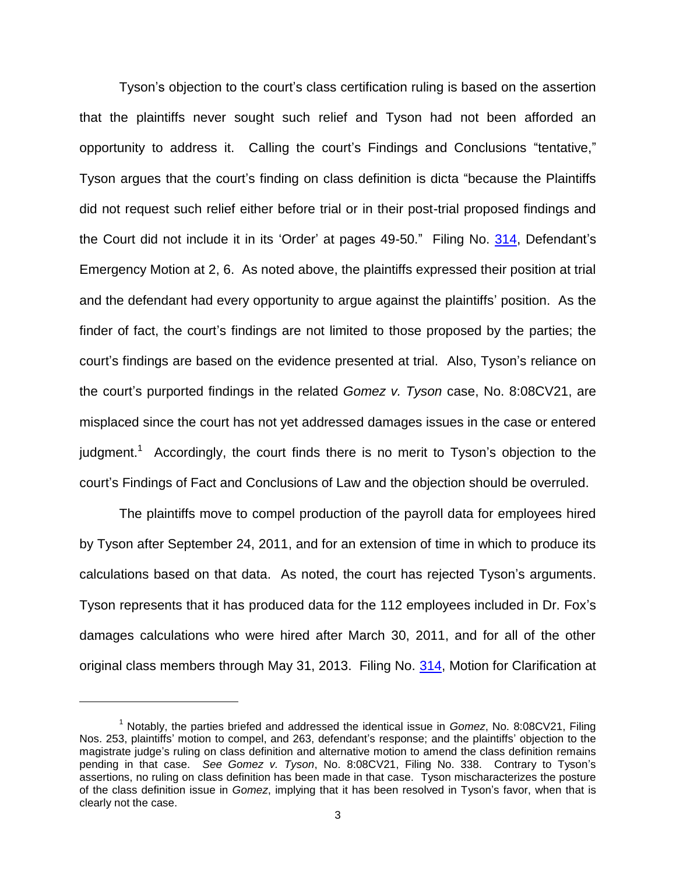Tyson's objection to the court's class certification ruling is based on the assertion that the plaintiffs never sought such relief and Tyson had not been afforded an opportunity to address it. Calling the court's Findings and Conclusions "tentative," Tyson argues that the court's finding on class definition is dicta "because the Plaintiffs did not request such relief either before trial or in their post-trial proposed findings and the Court did not include it in its 'Order' at pages 49-50." Filing No. [314,](https://ecf.ned.uscourts.gov/doc1/11312805750) Defendant's Emergency Motion at 2, 6. As noted above, the plaintiffs expressed their position at trial and the defendant had every opportunity to argue against the plaintiffs' position. As the finder of fact, the court's findings are not limited to those proposed by the parties; the court's findings are based on the evidence presented at trial. Also, Tyson's reliance on the court's purported findings in the related *Gomez v. Tyson* case, No. 8:08CV21, are misplaced since the court has not yet addressed damages issues in the case or entered judgment.<sup>1</sup> Accordingly, the court finds there is no merit to Tyson's objection to the court's Findings of Fact and Conclusions of Law and the objection should be overruled.

The plaintiffs move to compel production of the payroll data for employees hired by Tyson after September 24, 2011, and for an extension of time in which to produce its calculations based on that data. As noted, the court has rejected Tyson's arguments. Tyson represents that it has produced data for the 112 employees included in Dr. Fox's damages calculations who were hired after March 30, 2011, and for all of the other original class members through May 31, 2013. Filing No. [314,](https://ecf.ned.uscourts.gov/doc1/11312805750) Motion for Clarification at

 $\overline{a}$ 

<sup>1</sup> Notably, the parties briefed and addressed the identical issue in *Gomez*, No. 8:08CV21, Filing Nos. 253, plaintiffs' motion to compel, and 263, defendant's response; and the plaintiffs' objection to the magistrate judge's ruling on class definition and alternative motion to amend the class definition remains pending in that case. *See Gomez v. Tyson*, No. 8:08CV21, Filing No. 338. Contrary to Tyson's assertions, no ruling on class definition has been made in that case. Tyson mischaracterizes the posture of the class definition issue in *Gomez*, implying that it has been resolved in Tyson's favor, when that is clearly not the case.